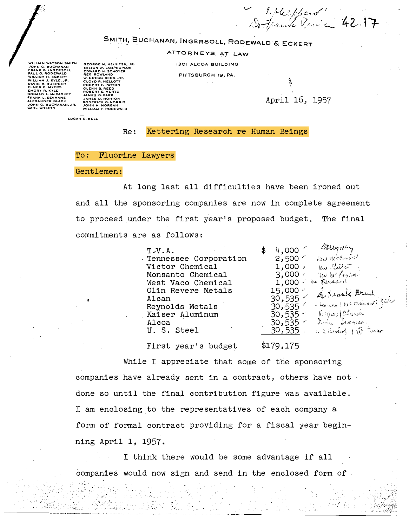Lotter pland" 42.17

SMITH, BUCHANAN, INGERSOLL, RODEWALD & ECKERT

ATTORNEYS AT LAW

**1301 ALCOA BUILDING** 

PITTSBURGH 19, PA.

WILLIAM WATSON SMITH<br>JOHN G. BUCHANAN<br>FRANK B. (NGERSOLL<br>PAUL G. RODEWALD<br>WILLIAM H. ECKERT .<br>ILLIAM J. KYLE, JR.<br>AVID B. BUERGER LMER E. MYERS<br>MORY R. KYLE<br>ONALD L. McCASKE<br>RANK L. SEAMANS<br>LEXANDER BLACK<br>OHN G. BUCHANAN,<br>ARL CHERIN

GEORGE M. HEINITSH, J<br>MILTON W. LAMPROPLOS<br>ENGA ROWLAND<br>REX ROWLAND<br>W. GREGG KERR, JR<br>GOBERT F. PATTON<br>GOBERT F. MERTZ<br>ROBERT E. MERTZ<br>JAMES G. PARK<br>JONN H. MORGAN<br>JOHN H. MORGAN<br>JOHN H. MORGAN<br>JOHN H. MORGAN<br>WILLIAM Y. RO

April 16, 1957

EDGAR D. BELL

Kettering Research re Human Beings  $Re:$ 

## Fluorine Lawyers  $To:$

## Gentlemen:

Antonio

on coupleted

At long last all difficulties have been ironed out and all the sponsoring companies are now in complete agreement to proceed under the first year's proposed budget. The final commitments are as follows:

> $T-V.A.$ Tennessee Corporation Victor Chemical Monsanto Chemical West Vaco Chemical Olin Revere Metals Alcan Reynolds Metals Kaiser Aluminum Alcoa U. S. Steel

Berry King 4,000 Har McCount  $2,500<sup>2</sup>$ Une Clettert  $1,000$ , Un W. Paylon  $3,000$ the period  $1,000$ 15,000 r A pleasele Around 30,535 - Rayers ( Ret Mills and )  $30,535$ Higher Church  $30,535$   $\sim$ Same Stands 30,535 P 30, Sarland 1 E 535

First year's budget

 $$179,175$ 

While I appreciate that some of the sponsoring companies have already sent in a contract, others have not done so until the final contribution figure was available. I am enclosing to the representatives of each company a form of formal contract providing for a fiscal year beginning April 1, 1957.

I think there would be some advantage if all companies would now sign and send in the enclosed form of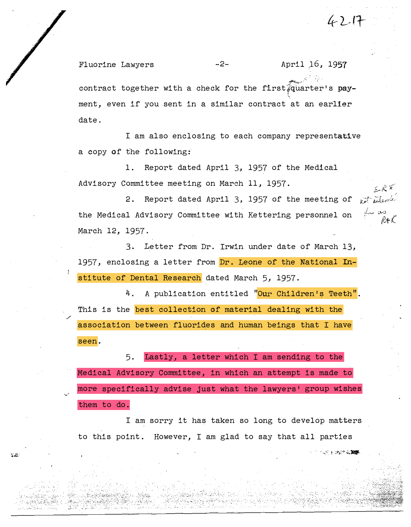Fluorine Lawyers -2- April 16, 1957 contract together with a check for the first  $\widehat{\mathfrak{g}}$ uarter's pay-!.. ment, even if you sent in a similar contract at an earlier date.

4217

インファーラング この部屋

I am also enclosing to each company representative a copy of the following:

1. Report dated April 3, 1957 of the Medical Advisory Committee meeting on March 11, 1957.

2. Report dated April 3, 1957 of the meeting of  $\frac{1}{k}$  in  $\frac{1}{k}$ the Medical Advisory Committee with Kettering personnel on March 12, 1957.

3. Letter from Dr. Irwin under date of March 13, 1957, enclosing a letter from Dr. Leone of the National Institute of Dental Research dated March 5, 1957.

4. A publication entitled "Our Children's Teeth". This is the best collection of material dealing with the association between fluorides and human beings that I have seen.

5. Lastly, a letter which I am sending to the Medical Advisory Committee, in which an attempt is made to more specifically advise just what the lawyers' group wishes them to do.

I am sorry it has taken so long to develop matters to this point. However, I am glad to say that all parties

. .... - /

 $\mathbb{R}^n$ 

. :::::::: $\mathbb{E} \left[ \mathcal{L} \left( \mathcal{L} \right) \right] \leq \mathbb{E} \left[ \mathcal{L} \left( \mathcal{L} \right) \right]$ 

 $\overline{\phantom{a}}$ \_:\_ ,;�>·  $\overline{\phantom{a}}$ .\_; "·; :, .-. :.  $\mathcal{L}_{\rm{th}}$  .

. • .